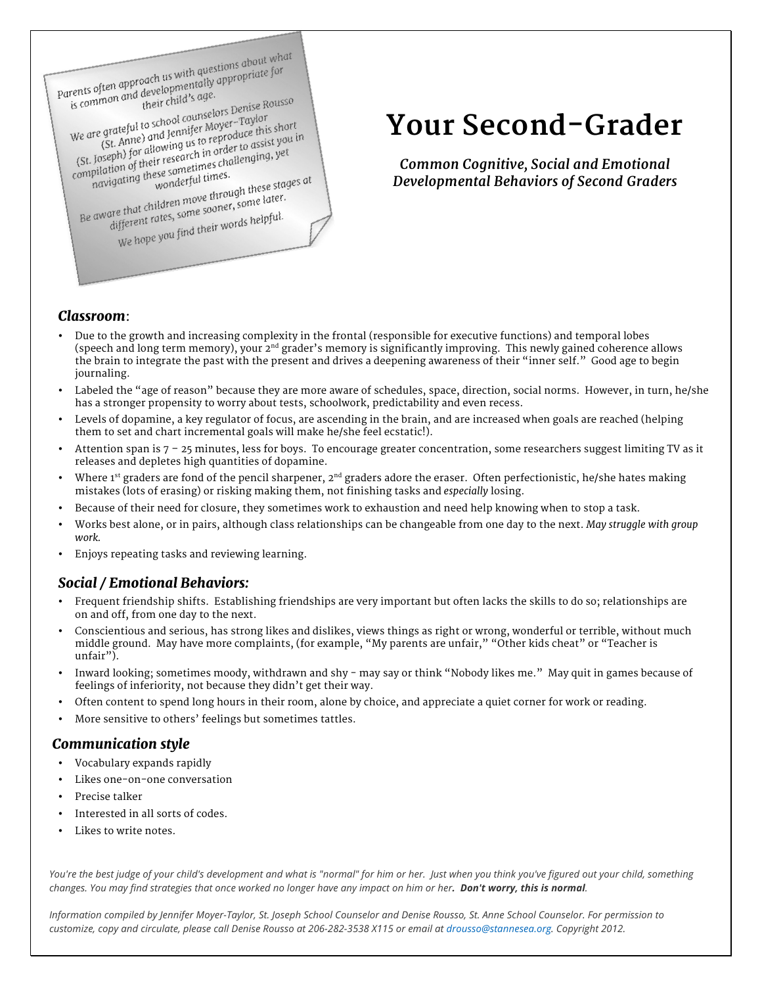

# **Your Second-Grader**

*Common Cognitive, Social and Emotional Developmental Behaviors of Second Graders*

### *Classroom*:

- Due to the growth and increasing complexity in the frontal (responsible for executive functions) and temporal lobes (speech and long term memory), your 2<sup>nd</sup> grader's memory is significantly improving. This newly gained coherence allows the brain to integrate the past with the present and drives a deepening awareness of their "inner self." Good age to begin journaling.
- Labeled the "age of reason" because they are more aware of schedules, space, direction, social norms. However, in turn, he/she has a stronger propensity to worry about tests, schoolwork, predictability and even recess.
- Levels of dopamine, a key regulator of focus, are ascending in the brain, and are increased when goals are reached (helping them to set and chart incremental goals will make he/she feel ecstatic!).
- Attention span is  $7 25$  minutes, less for boys. To encourage greater concentration, some researchers suggest limiting TV as it releases and depletes high quantities of dopamine.
- Where  $1<sup>st</sup>$  graders are fond of the pencil sharpener,  $2<sup>nd</sup>$  graders adore the eraser. Often perfectionistic, he/she hates making mistakes (lots of erasing) or risking making them, not finishing tasks and *especially* losing.
- Because of their need for closure, they sometimes work to exhaustion and need help knowing when to stop a task.
- Works best alone, or in pairs, although class relationships can be changeable from one day to the next. *May struggle with group work.*
- Enjoys repeating tasks and reviewing learning.

### *Social / Emotional Behaviors:*

- Frequent friendship shifts. Establishing friendships are very important but often lacks the skills to do so; relationships are on and off, from one day to the next.
- Conscientious and serious, has strong likes and dislikes, views things as right or wrong, wonderful or terrible, without much middle ground. May have more complaints, (for example, "My parents are unfair," "Other kids cheat" or "Teacher is unfair").
- Inward looking; sometimes moody, withdrawn and shy may say or think "Nobody likes me." May quit in games because of feelings of inferiority, not because they didn't get their way.
- Often content to spend long hours in their room, alone by choice, and appreciate a quiet corner for work or reading.
- More sensitive to others' feelings but sometimes tattles.

#### *Communication style*

- Vocabulary expands rapidly
- Likes one-on-one conversation
- Precise talker
- Interested in all sorts of codes.
- Likes to write notes.

*You're the best judge of your child's development and what is "normal" for him or her. Just when you think you've figured out your child, something changes. You may find strategies that once worked no longer have any impact on him or her. Don't worry, this is normal.* 

*Information compiled by Jennifer Moyer-Taylor, St. Joseph School Counselor and Denise Rousso, St. Anne School Counselor. For permission to customize, copy and circulate, please call Denise Rousso at 206-282-3538 X115 or email at drousso@stannesea.org. Copyright 2012.*